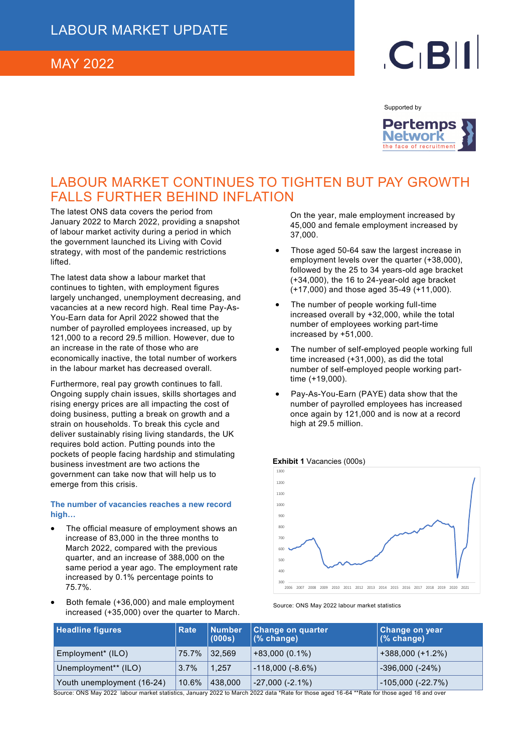### MAY 2022

# $C<sub>1</sub>B<sub>1</sub>$

Supported by



# LABOUR MARKET CONTINUES TO TIGHTEN BUT PAY GROWTH FALLS FURTHER BEHIND INFLATION

The latest ONS data covers the period from January 2022 to March 2022, providing a snapshot of labour market activity during a period in which the government launched its Living with Covid strategy, with most of the pandemic restrictions lifted.

The latest data show a labour market that continues to tighten, with employment figures largely unchanged, unemployment decreasing, and vacancies at a new record high. Real time Pay-As-You-Earn data for April 2022 showed that the number of payrolled employees increased, up by 121,000 to a record 29.5 million. However, due to an increase in the rate of those who are economically inactive, the total number of workers in the labour market has decreased overall.

Furthermore, real pay growth continues to fall. Ongoing supply chain issues, skills shortages and rising energy prices are all impacting the cost of doing business, putting a break on growth and a strain on households. To break this cycle and deliver sustainably rising living standards, the UK requires bold action. Putting pounds into the pockets of people facing hardship and stimulating business investment are two actions the government can take now that will help us to emerge from this crisis.

#### **The number of vacancies reaches a new record high…**

- The official measure of employment shows an increase of 83,000 in the three months to March 2022, compared with the previous quarter, and an increase of 388,000 on the same period a year ago. The employment rate increased by 0.1% percentage points to 75.7%.
- Both female (+36,000) and male employment increased (+35,000) over the quarter to March.

On the year, male employment increased by 45,000 and female employment increased by 37,000.

- Those aged 50-64 saw the largest increase in employment levels over the quarter (+38,000), followed by the 25 to 34 years-old age bracket (+34,000), the 16 to 24-year-old age bracket (+17,000) and those aged 35-49 (+11,000).
- The number of people working full-time increased overall by +32,000, while the total number of employees working part-time increased by +51,000.
- The number of self-employed people working full time increased (+31,000), as did the total number of self-employed people working parttime (+19,000).
- Pay-As-You-Earn (PAYE) data show that the number of payrolled employees has increased once again by 121,000 and is now at a record high at 29.5 million.

#### **Exhibit 1** Vacancies (000s)



Source: ONS May 2022 labour market statistics

| <b>Headline figures</b>    | <b>Rate</b> | <b>Number</b><br>(000s) | Change on quarter<br>(% change) | <b>Change on year</b><br>(% change) |
|----------------------------|-------------|-------------------------|---------------------------------|-------------------------------------|
| Employment* (ILO)          | 75.7%       | $ 32,569\rangle$        | $+83,000(0.1\%)$                | $+388,000 (+1.2%)$                  |
| Unemployment** (ILO)       | $3.7\%$     | 1.257                   | $-118,000(-8.6%)$               | $-396,000$ ( $-24\%$ )              |
| Youth unemployment (16-24) | 10.6%       | 438,000                 | $-27,000(-2.1\%)$               | $-105,000(-22.7%)$                  |

Source: ONS May 2022 labour market statistics, January 2022 to March 2022 data \*Rate for those aged 16 -64 \*\*Rate for those aged 16 and over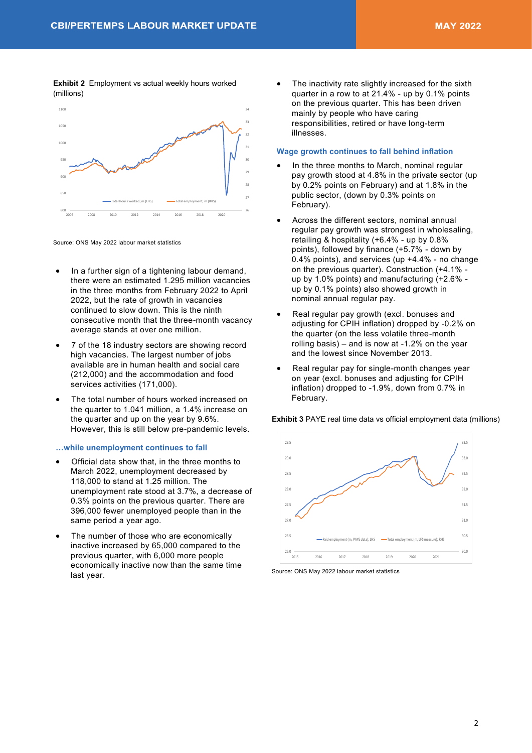**Exhibit 2** Employment vs actual weekly hours worked (millions)



Source: ONS May 2022 labour market statistics

- In a further sign of a tightening labour demand, there were an estimated 1.295 million vacancies in the three months from February 2022 to April 2022, but the rate of growth in vacancies continued to slow down. This is the ninth consecutive month that the three-month vacancy average stands at over one million.
- 7 of the 18 industry sectors are showing record high vacancies. The largest number of jobs available are in human health and social care (212,000) and the accommodation and food services activities (171,000).
- The total number of hours worked increased on the quarter to 1.041 million, a 1.4% increase on the quarter and up on the year by 9.6%. However, this is still below pre-pandemic levels.

#### **…while unemployment continues to fall**

- Official data show that, in the three months to March 2022, unemployment decreased by 118,000 to stand at 1.25 million. The unemployment rate stood at 3.7%, a decrease of 0.3% points on the previous quarter. There are 396,000 fewer unemployed people than in the same period a year ago.
- The number of those who are economically inactive increased by 65,000 compared to the previous quarter, with 6,000 more people economically inactive now than the same time last year.

The inactivity rate slightly increased for the sixth quarter in a row to at 21.4% - up by 0.1% points on the previous quarter. This has been driven mainly by people who have caring responsibilities, retired or have long-term illnesses.

### **Wage growth continues to fall behind inflation**

- In the three months to March, nominal regular pay growth stood at 4.8% in the private sector (up by 0.2% points on February) and at 1.8% in the public sector, (down by 0.3% points on February).
- Across the different sectors, nominal annual regular pay growth was strongest in wholesaling, retailing & hospitality (+6.4% - up by 0.8% points), followed by finance (+5.7% - down by 0.4% points), and services (up +4.4% - no change on the previous quarter). Construction (+4.1% up by 1.0% points) and manufacturing (+2.6% up by 0.1% points) also showed growth in nominal annual regular pay.
- Real regular pay growth (excl. bonuses and adjusting for CPIH inflation) dropped by -0.2% on the quarter (on the less volatile three-month rolling basis) – and is now at -1.2% on the year and the lowest since November 2013.
- Real regular pay for single-month changes year on year (excl. bonuses and adjusting for CPIH inflation) dropped to -1.9%, down from 0.7% in February.

**Exhibit 3 PAYE real time data vs official employment data (millions)** 



Source: ONS May 2022 labour market statistics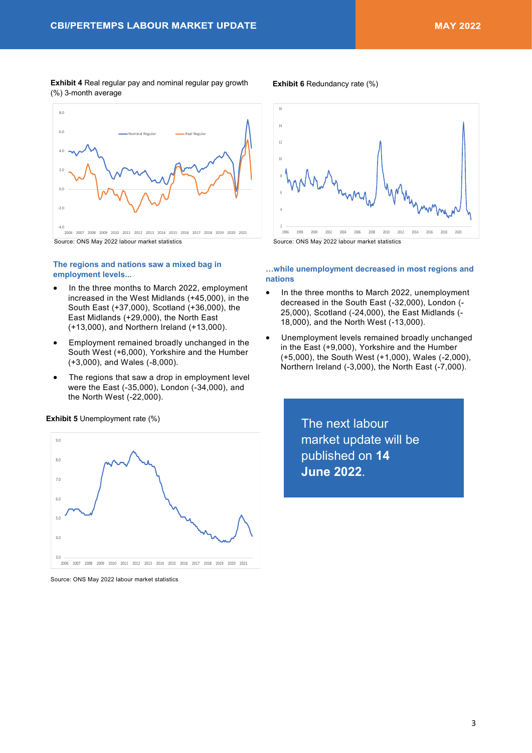**Exhibit 4** Real regular pay and nominal regular pay growth **Exhibit 6** Redundancy rate (%) (%) 3-month average



Source: ONS May 2022 labour market statistics

#### **The regions and nations saw a mixed bag in employment levels...**

- In the three months to March 2022, employment increased in the West Midlands (+45,000), in the South East (+37,000), Scotland (+36,000), the East Midlands (+29,000), the North East (+13,000), and Northern Ireland (+13,000).
- Employment remained broadly unchanged in the South West (+6,000), Yorkshire and the Humber (+3,000), and Wales (-8,000).
- The regions that saw a drop in employment level were the East (-35,000), London (-34,000), and the North West (-22,000).



Source: ONS May 2022 labour market statistics

**Exhibit 5** Unemployment rate (%)



#### **…while unemployment decreased in most regions and nations**

- In the three months to March 2022, unemployment decreased in the South East (-32,000), London (- 25,000), Scotland (-24,000), the East Midlands (- 18,000), and the North West (-13,000).
- Unemployment levels remained broadly unchanged in the East (+9,000), Yorkshire and the Humber (+5,000), the South West (+1,000), Wales (-2,000), Northern Ireland (-3,000), the North East (-7,000).

The next labour market update will be published on **14 June 2022**.